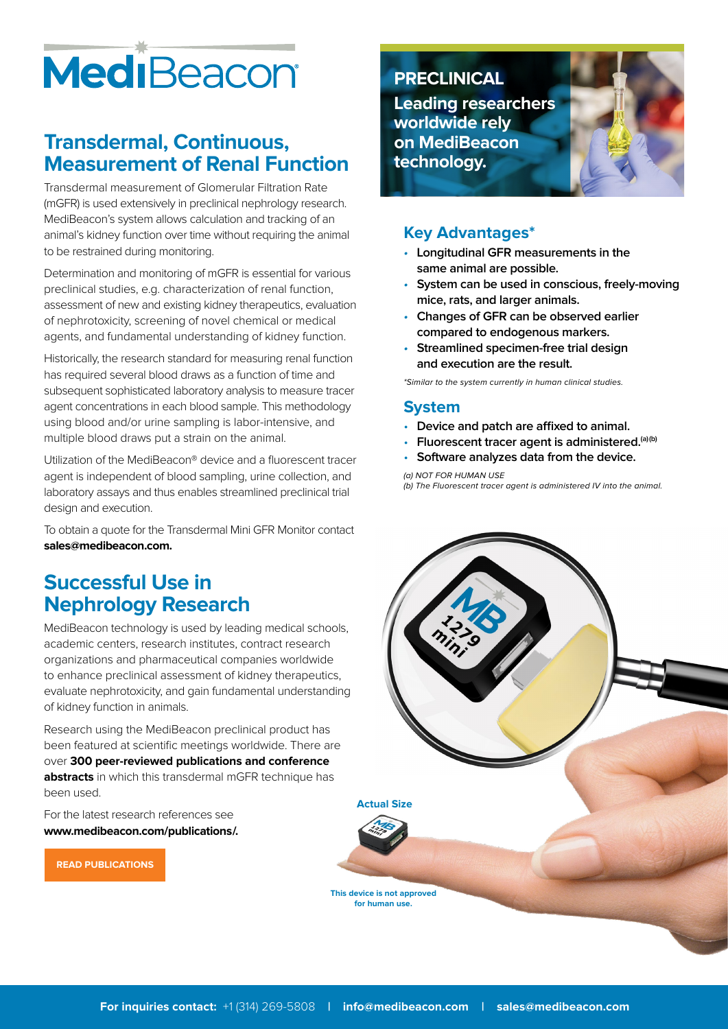# MediBeacon

# **Transdermal, Continuous, Measurement of Renal Function**

Transdermal measurement of Glomerular Filtration Rate (mGFR) is used extensively in preclinical nephrology research. MediBeacon's system allows calculation and tracking of an animal's kidney function over time without requiring the animal to be restrained during monitoring.

Determination and monitoring of mGFR is essential for various preclinical studies, e.g. characterization of renal function, assessment of new and existing kidney therapeutics, evaluation of nephrotoxicity, screening of novel chemical or medical agents, and fundamental understanding of kidney function.

Historically, the research standard for measuring renal function has required several blood draws as a function of time and subsequent sophisticated laboratory analysis to measure tracer agent concentrations in each blood sample. This methodology using blood and/or urine sampling is labor-intensive, and multiple blood draws put a strain on the animal.

Utilization of the MediBeacon® device and a fluorescent tracer agent is independent of blood sampling, urine collection, and laboratory assays and thus enables streamlined preclinical trial design and execution.

To obtain a quote for the Transdermal Mini GFR Monitor contact **sales@medibeacon.com.**

# **Successful Use in Nephrology Research**

MediBeacon technology is used by leading medical schools, academic centers, research institutes, contract research organizations and pharmaceutical companies worldwide to enhance preclinical assessment of kidney therapeutics, evaluate nephrotoxicity, and gain fundamental understanding of kidney function in animals.

Research using the MediBeacon preclinical product has been featured at scientific meetings worldwide. There are over **300 peer-reviewed publications and conference abstracts** in which this transdermal mGFR technique has been used.

For the latest research references see **www.medibeacon.com/publications/.** 

**PRECLINICAL**

**Leading researchers worldwide rely on MediBeacon technology.**

#### **Key Advantages\***

- **Longitudinal GFR measurements in the same animal are possible.**
- **System can be used in conscious, freely-moving mice, rats, and larger animals.**
- **Changes of GFR can be observed earlier compared to endogenous markers.**
- **Streamlined specimen-free trial design and execution are the result.**

\*Similar to the system currently in human clinical studies.

#### **System**

- **Device and patch are affixed to animal.**
- **Fluorescent tracer agent is administered.(a)(b)**
- **Software analyzes data from the device.**

(a) NOT FOR HUMAN USE

(b) The Fluorescent tracer agent is administered IV into the animal.